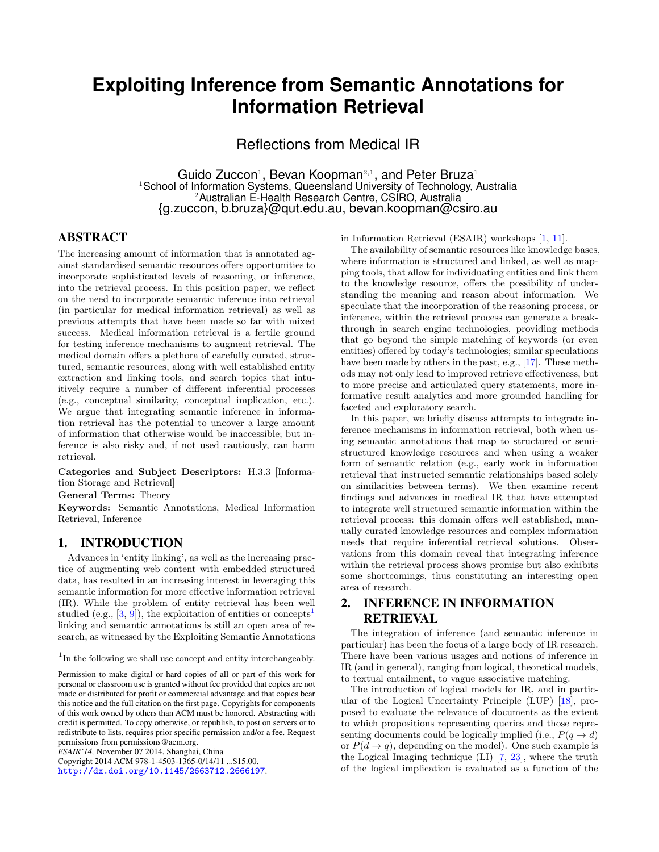# **Exploiting Inference from Semantic Annotations for Information Retrieval**

Reflections from Medical IR

Guido Zuccon<sup>1</sup>, Bevan Koopman<sup>2,1</sup>, and Peter Bruza<sup>1</sup> <sup>1</sup>School of Information Systems, Queensland University of Technology, Australia <sup>2</sup>Australian E-Health Research Centre, CSIRO, Australia {g.zuccon, b.bruza}@qut.edu.au, bevan.koopman@csiro.au

### ABSTRACT

The increasing amount of information that is annotated against standardised semantic resources offers opportunities to incorporate sophisticated levels of reasoning, or inference, into the retrieval process. In this position paper, we reflect on the need to incorporate semantic inference into retrieval (in particular for medical information retrieval) as well as previous attempts that have been made so far with mixed success. Medical information retrieval is a fertile ground for testing inference mechanisms to augment retrieval. The medical domain offers a plethora of carefully curated, structured, semantic resources, along with well established entity extraction and linking tools, and search topics that intuitively require a number of different inferential processes (e.g., conceptual similarity, conceptual implication, etc.). We argue that integrating semantic inference in information retrieval has the potential to uncover a large amount of information that otherwise would be inaccessible; but inference is also risky and, if not used cautiously, can harm retrieval.

Categories and Subject Descriptors: H.3.3 [Information Storage and Retrieval]

General Terms: Theory

Keywords: Semantic Annotations, Medical Information Retrieval, Inference

#### 1. INTRODUCTION

Advances in 'entity linking', as well as the increasing practice of augmenting web content with embedded structured data, has resulted in an increasing interest in leveraging this semantic information for more effective information retrieval (IR). While the problem of entity retrieval has been well studied (e.g.,  $[3, 9]$  $[3, 9]$  $[3, 9]$ ), the exploitation of entities or concepts<sup>[1](#page-0-0)</sup> linking and semantic annotations is still an open area of research, as witnessed by the Exploiting Semantic Annotations

*ESAIR'14,* November 07 2014, Shanghai, China

Copyright 2014 ACM 978-1-4503-1365-0/14/11 ...\$15.00.

<http://dx.doi.org/10.1145/2663712.2666197>.

in Information Retrieval (ESAIR) workshops [\[1,](#page-2-2) [11\]](#page-2-3).

The availability of semantic resources like knowledge bases, where information is structured and linked, as well as mapping tools, that allow for individuating entities and link them to the knowledge resource, offers the possibility of understanding the meaning and reason about information. We speculate that the incorporation of the reasoning process, or inference, within the retrieval process can generate a breakthrough in search engine technologies, providing methods that go beyond the simple matching of keywords (or even entities) offered by today's technologies; similar speculations have been made by others in the past, e.g., [\[17\]](#page-2-4). These methods may not only lead to improved retrieve effectiveness, but to more precise and articulated query statements, more informative result analytics and more grounded handling for faceted and exploratory search.

In this paper, we briefly discuss attempts to integrate inference mechanisms in information retrieval, both when using semantic annotations that map to structured or semistructured knowledge resources and when using a weaker form of semantic relation (e.g., early work in information retrieval that instructed semantic relationships based solely on similarities between terms). We then examine recent findings and advances in medical IR that have attempted to integrate well structured semantic information within the retrieval process: this domain offers well established, manually curated knowledge resources and complex information needs that require inferential retrieval solutions. Observations from this domain reveal that integrating inference within the retrieval process shows promise but also exhibits some shortcomings, thus constituting an interesting open area of research.

## <span id="page-0-1"></span>2. INFERENCE IN INFORMATION RETRIEVAL

The integration of inference (and semantic inference in particular) has been the focus of a large body of IR research. There have been various usages and notions of inference in IR (and in general), ranging from logical, theoretical models, to textual entailment, to vague associative matching.

The introduction of logical models for IR, and in particular of the Logical Uncertainty Principle (LUP) [\[18\]](#page-2-5), proposed to evaluate the relevance of documents as the extent to which propositions representing queries and those representing documents could be logically implied (i.e.,  $P(q \rightarrow d)$ ) or  $P(d \rightarrow q)$ , depending on the model). One such example is the Logical Imaging technique (LI) [\[7,](#page-2-6) [23\]](#page-2-7), where the truth of the logical implication is evaluated as a function of the

<span id="page-0-0"></span><sup>&</sup>lt;sup>1</sup>In the following we shall use concept and entity interchangeably.

Permission to make digital or hard copies of all or part of this work for personal or classroom use is granted without fee provided that copies are not made or distributed for profit or commercial advantage and that copies bear this notice and the full citation on the first page. Copyrights for components of this work owned by others than ACM must be honored. Abstracting with credit is permitted. To copy otherwise, or republish, to post on servers or to redistribute to lists, requires prior specific permission and/or a fee. Request permissions from permissions@acm.org.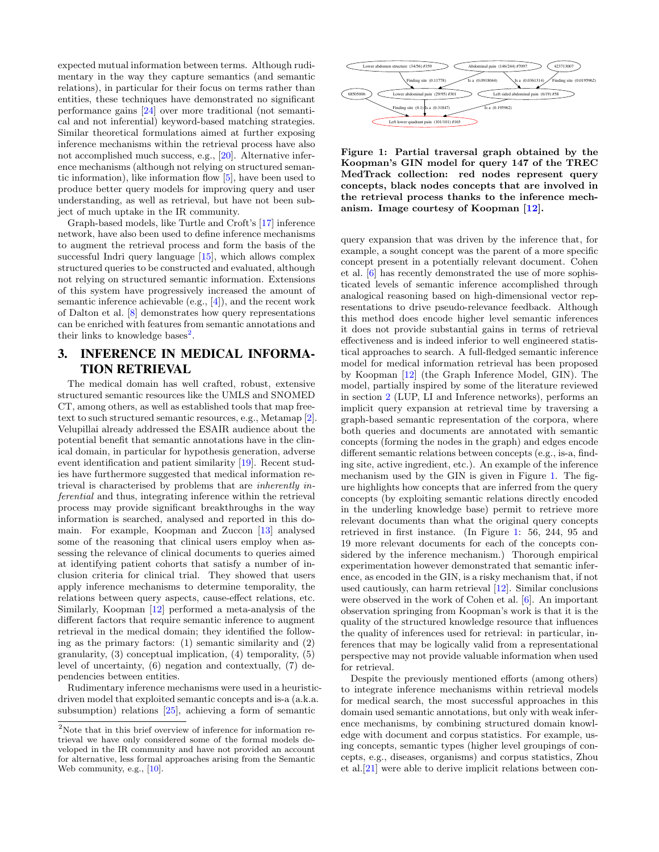expected mutual information between terms. Although rudimentary in the way they capture semantics (and semantic relations), in particular for their focus on terms rather than entities, these techniques have demonstrated no significant performance gains [\[24\]](#page-2-8) over more traditional (not semantical and not inferential) keyword-based matching strategies. Similar theoretical formulations aimed at further exposing inference mechanisms within the retrieval process have also not accomplished much success, e.g., [\[20\]](#page-2-9). Alternative inference mechanisms (although not relying on structured semantic information), like information flow [\[5\]](#page-2-10), have been used to produce better query models for improving query and user understanding, as well as retrieval, but have not been subject of much uptake in the IR community.

Graph-based models, like Turtle and Croft's [\[17\]](#page-2-4) inference network, have also been used to define inference mechanisms to augment the retrieval process and form the basis of the successful Indri query language [\[15\]](#page-2-11), which allows complex structured queries to be constructed and evaluated, although not relying on structured semantic information. Extensions of this system have progressively increased the amount of semantic inference achievable (e.g., [\[4\]](#page-2-12)), and the recent work of Dalton et al. [\[8\]](#page-2-13) demonstrates how query representations can be enriched with features from semantic annotations and their links to knowledge bases<sup>[2](#page-1-0)</sup>.

# 3. INFERENCE IN MEDICAL INFORMA-TION RETRIEVAL

The medical domain has well crafted, robust, extensive structured semantic resources like the UMLS and SNOMED CT, among others, as well as established tools that map freetext to such structured semantic resources, e.g., Metamap [\[2\]](#page-2-14). Velupillai already addressed the ESAIR audience about the potential benefit that semantic annotations have in the clinical domain, in particular for hypothesis generation, adverse event identification and patient similarity [\[19\]](#page-2-15). Recent studies have furthermore suggested that medical information retrieval is characterised by problems that are inherently inferential and thus, integrating inference within the retrieval process may provide significant breakthroughs in the way information is searched, analysed and reported in this domain. For example, Koopman and Zuccon [\[13\]](#page-2-16) analysed some of the reasoning that clinical users employ when assessing the relevance of clinical documents to queries aimed at identifying patient cohorts that satisfy a number of inclusion criteria for clinical trial. They showed that users apply inference mechanisms to determine temporality, the relations between query aspects, cause-effect relations, etc. Similarly, Koopman [\[12\]](#page-2-17) performed a meta-analysis of the different factors that require semantic inference to augment retrieval in the medical domain; they identified the following as the primary factors: (1) semantic similarity and (2) granularity, (3) conceptual implication, (4) temporality, (5) level of uncertainty, (6) negation and contextually, (7) dependencies between entities.

Rudimentary inference mechanisms were used in a heuristicdriven model that exploited semantic concepts and is-a (a.k.a. subsumption) relations [\[25\]](#page-2-18), achieving a form of semantic



<span id="page-1-1"></span>Figure 1: Partial traversal graph obtained by the Koopman's GIN model for query 147 of the TREC MedTrack collection: red nodes represent query concepts, black nodes concepts that are involved in the retrieval process thanks to the inference mechanism. Image courtesy of Koopman [\[12\]](#page-2-17).

query expansion that was driven by the inference that, for example, a sought concept was the parent of a more specific concept present in a potentially relevant document. Cohen et al. [\[6\]](#page-2-20) has recently demonstrated the use of more sophisticated levels of semantic inference accomplished through analogical reasoning based on high-dimensional vector representations to drive pseudo-relevance feedback. Although this method does encode higher level semantic inferences it does not provide substantial gains in terms of retrieval effectiveness and is indeed inferior to well engineered statistical approaches to search. A full-fledged semantic inference model for medical information retrieval has been proposed by Koopman [\[12\]](#page-2-17) (the Graph Inference Model, GIN). The model, partially inspired by some of the literature reviewed in section [2](#page-0-1) (LUP, LI and Inference networks), performs an implicit query expansion at retrieval time by traversing a graph-based semantic representation of the corpora, where both queries and documents are annotated with semantic concepts (forming the nodes in the graph) and edges encode different semantic relations between concepts (e.g., is-a, finding site, active ingredient, etc.). An example of the inference mechanism used by the GIN is given in Figure [1.](#page-1-1) The figure highlights how concepts that are inferred from the query concepts (by exploiting semantic relations directly encoded in the underling knowledge base) permit to retrieve more relevant documents than what the original query concepts retrieved in first instance. (In Figure [1:](#page-1-1) 56, 244, 95 and 19 more relevant documents for each of the concepts considered by the inference mechanism.) Thorough empirical experimentation however demonstrated that semantic inference, as encoded in the GIN, is a risky mechanism that, if not used cautiously, can harm retrieval [\[12\]](#page-2-17). Similar conclusions were observed in the work of Cohen et al. [\[6\]](#page-2-20). An important observation springing from Koopman's work is that it is the quality of the structured knowledge resource that influences the quality of inferences used for retrieval: in particular, inferences that may be logically valid from a representational perspective may not provide valuable information when used for retrieval.

Despite the previously mentioned efforts (among others) to integrate inference mechanisms within retrieval models for medical search, the most successful approaches in this domain used semantic annotations, but only with weak inference mechanisms, by combining structured domain knowledge with document and corpus statistics. For example, using concepts, semantic types (higher level groupings of concepts, e.g., diseases, organisms) and corpus statistics, Zhou et al.[\[21\]](#page-2-21) were able to derive implicit relations between con-

<span id="page-1-0"></span> $^2\rm{Note}$  that in this brief overview of inference for information retrieval we have only considered some of the formal models developed in the IR community and have not provided an account for alternative, less formal approaches arising from the Semantic Web community, e.g.,  $[10]$ .